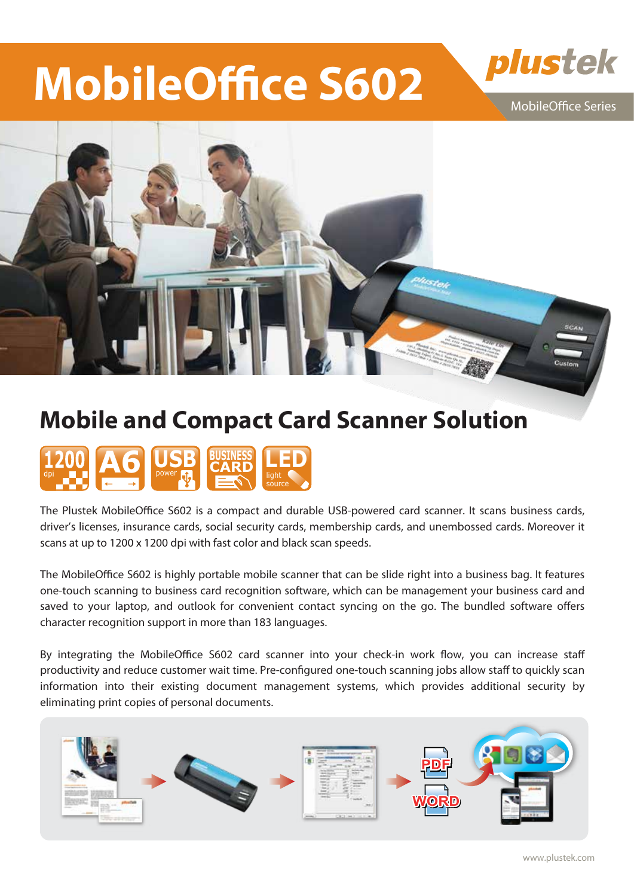# **MobileOffice S602**

MobileOffice Series

plustek



## **Mobile and Compact Card Scanner Solution**



The Plustek MobileOffice S602 is a compact and durable USB-powered card scanner. It scans business cards, driver's licenses, insurance cards, social security cards, membership cards, and unembossed cards. Moreover it scans at up to 1200 x 1200 dpi with fast color and black scan speeds.

The MobileOffice S602 is highly portable mobile scanner that can be slide right into a business bag. It features one-touch scanning to business card recognition software, which can be management your business card and saved to your laptop, and outlook for convenient contact syncing on the go. The bundled software offers character recognition support in more than 183 languages.

By integrating the MobileOffice S602 card scanner into your check-in work flow, you can increase staff productivity and reduce customer wait time. Pre-configured one-touch scanning jobs allow staff to quickly scan information into their existing document management systems, which provides additional security by eliminating print copies of personal documents.